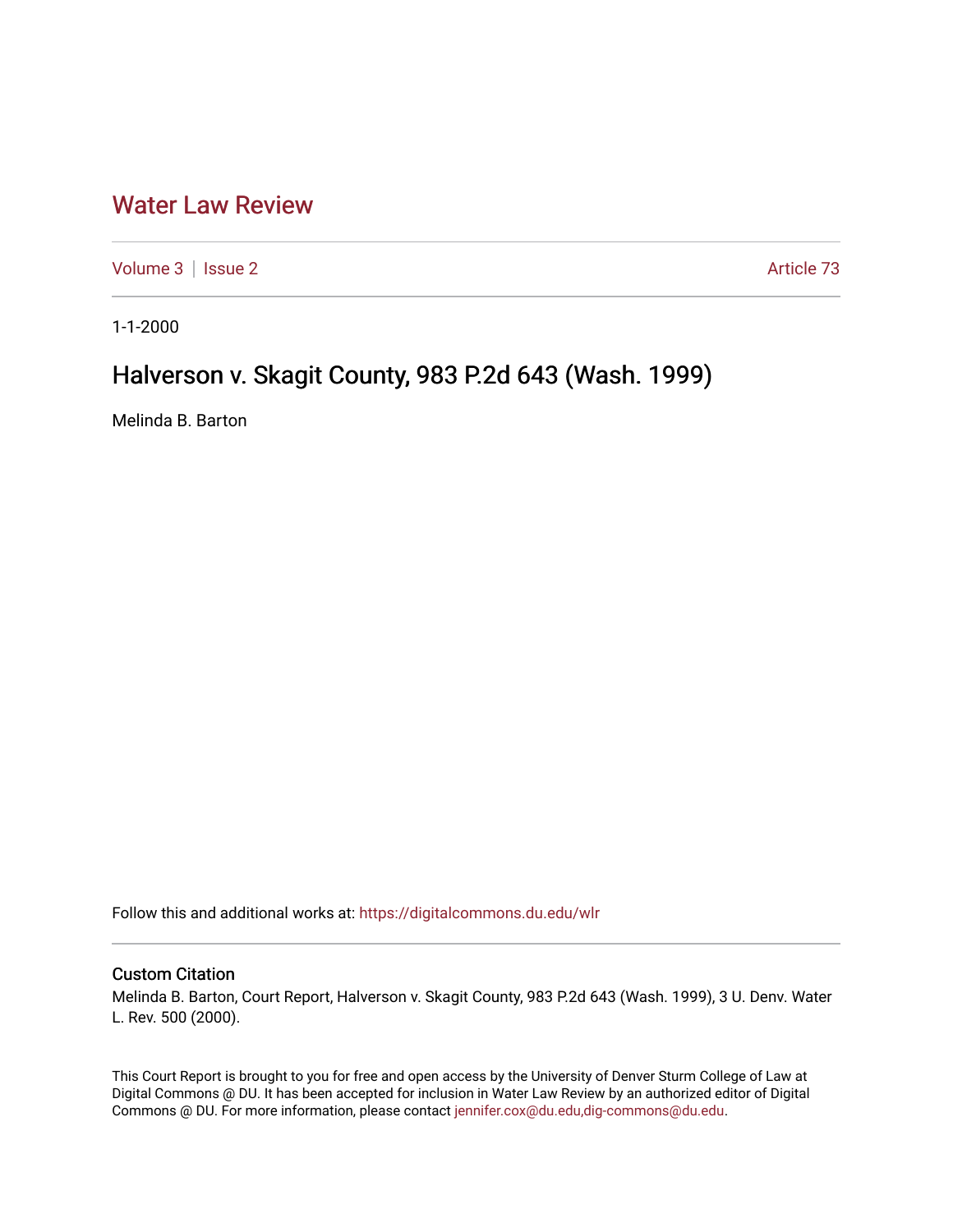## [Water Law Review](https://digitalcommons.du.edu/wlr)

[Volume 3](https://digitalcommons.du.edu/wlr/vol3) | [Issue 2](https://digitalcommons.du.edu/wlr/vol3/iss2) Article 73

1-1-2000

## Halverson v. Skagit County, 983 P.2d 643 (Wash. 1999)

Melinda B. Barton

Follow this and additional works at: [https://digitalcommons.du.edu/wlr](https://digitalcommons.du.edu/wlr?utm_source=digitalcommons.du.edu%2Fwlr%2Fvol3%2Fiss2%2F73&utm_medium=PDF&utm_campaign=PDFCoverPages) 

## Custom Citation

Melinda B. Barton, Court Report, Halverson v. Skagit County, 983 P.2d 643 (Wash. 1999), 3 U. Denv. Water L. Rev. 500 (2000).

This Court Report is brought to you for free and open access by the University of Denver Sturm College of Law at Digital Commons @ DU. It has been accepted for inclusion in Water Law Review by an authorized editor of Digital Commons @ DU. For more information, please contact [jennifer.cox@du.edu,dig-commons@du.edu.](mailto:jennifer.cox@du.edu,dig-commons@du.edu)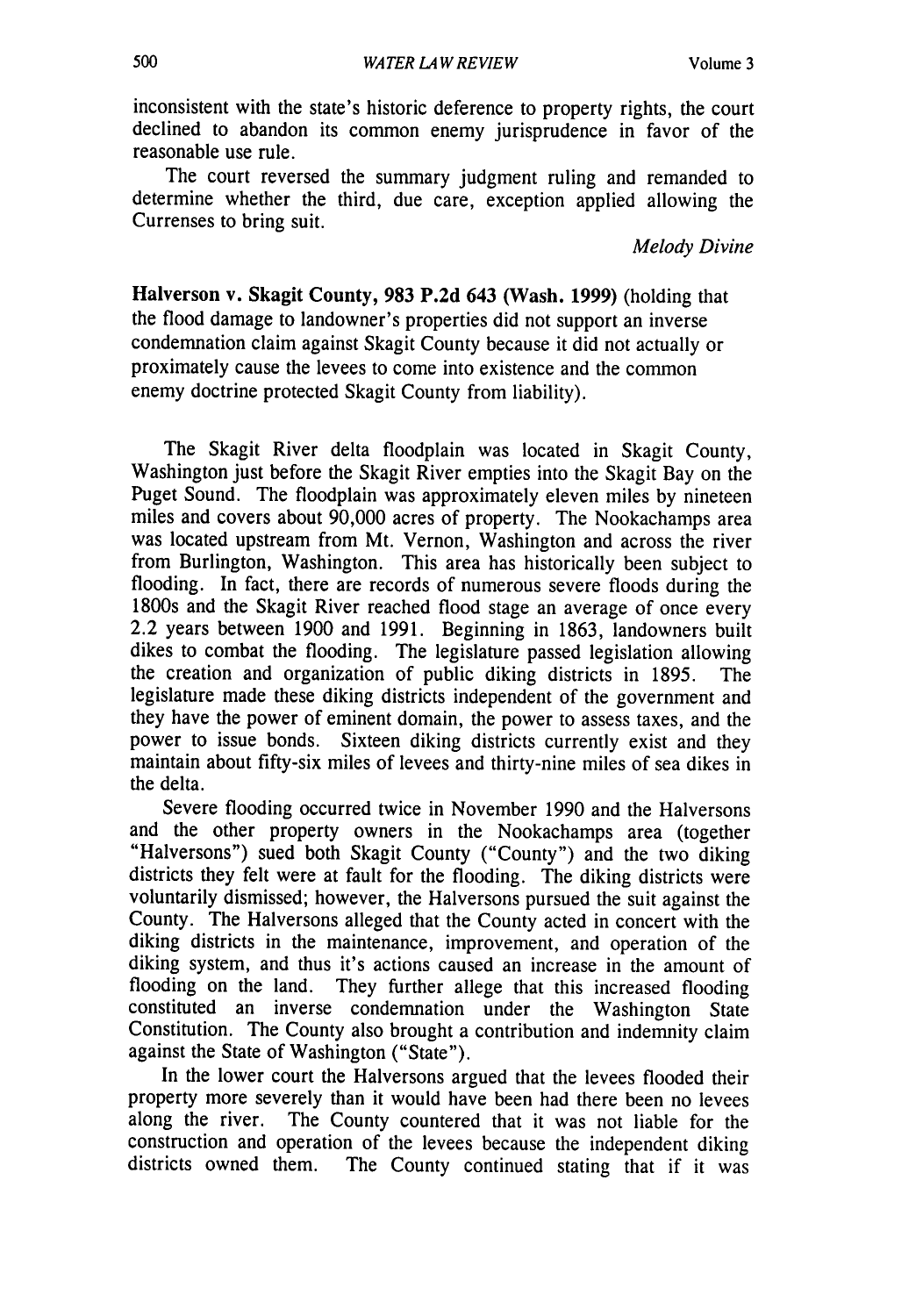inconsistent with the state's historic deference to property rights, the court declined to abandon its common enemy jurisprudence in favor of the reasonable use rule.

The court reversed the summary judgment ruling and remanded to determine whether the third, due care, exception applied allowing the Currenses to bring suit.

*Melody Divine*

Halverson v. Skagit County, **983 P.2d** 643 (Wash. **1999)** (holding that the flood damage to landowner's properties did not support an inverse condemnation claim against Skagit County because it did not actually or proximately cause the levees to come into existence and the common enemy doctrine protected Skagit County from liability).

The Skagit River delta floodplain was located in Skagit County, Washington just before the Skagit River empties into the Skagit Bay on the Puget Sound. The floodplain was approximately eleven miles by nineteen miles and covers about 90,000 acres of property. The Nookachamps area was located upstream from Mt. Vernon, Washington and across the river from Burlington, Washington. This area has historically been subject to flooding. In fact, there are records of numerous severe floods during the 1800s and the Skagit River reached flood stage an average of once every 2.2 years between 1900 and 1991. Beginning in 1863, landowners built dikes to combat the flooding. The legislature passed legislation allowing the creation and organization of public diking districts in 1895. The legislature made these diking districts independent of the government and they have the power of eminent domain, the power to assess taxes, and the power to issue bonds. Sixteen diking districts currently exist and they maintain about fifty-six miles of levees and thirty-nine miles of sea dikes in the delta.

Severe flooding occurred twice in November 1990 and the Halversons and the other property owners in the Nookachamps area (together "Halversons") sued both Skagit County ("County") and the two diking districts they felt were at fault for the flooding. The diking districts were voluntarily dismissed; however, the Halversons pursued the suit against the County. The Halversons alleged that the County acted in concert with the diking districts in the maintenance, improvement, and operation of the diking system, and thus it's actions caused an increase in the amount of flooding on the land. They further allege that this increased flooding constituted an inverse condemnation under the Washington State Constitution. The County also brought a contribution and indemnity claim against the State of Washington ("State").

In the lower court the Halversons argued that the levees flooded their property more severely than it would have been had there been no levees along the river. The County countered that it was not liable for the construction and operation of the levees because the independent diking districts owned them. The County continued stating that if it was